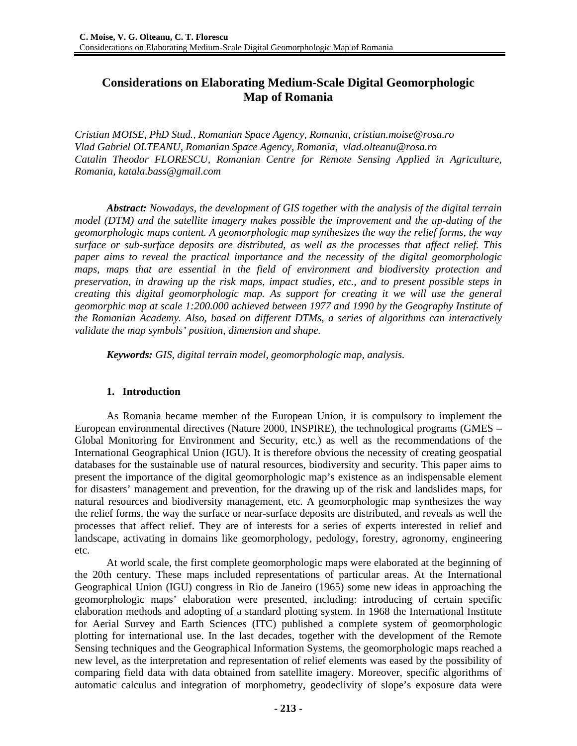# **Considerations on Elaborating Medium-Scale Digital Geomorphologic Map of Romania**

*Cristian MOISE, PhD Stud., Romanian Space Agency, Romania, cristian.moise@rosa.ro Vlad Gabriel OLTEANU, Romanian Space Agency, Romania, vlad.olteanu@rosa.ro Catalin Theodor FLORESCU, Romanian Centre for Remote Sensing Applied in Agriculture, Romania, katala.bass@gmail.com* 

*Abstract: Nowadays, the development of GIS together with the analysis of the digital terrain model (DTM) and the satellite imagery makes possible the improvement and the up-dating of the geomorphologic maps content. A geomorphologic map synthesizes the way the relief forms, the way surface or sub-surface deposits are distributed, as well as the processes that affect relief. This paper aims to reveal the practical importance and the necessity of the digital geomorphologic maps, maps that are essential in the field of environment and biodiversity protection and preservation, in drawing up the risk maps, impact studies, etc., and to present possible steps in creating this digital geomorphologic map. As support for creating it we will use the general geomorphic map at scale 1:200.000 achieved between 1977 and 1990 by the Geography Institute of the Romanian Academy. Also, based on different DTMs, a series of algorithms can interactively validate the map symbols' position, dimension and shape.* 

*Keywords: GIS, digital terrain model, geomorphologic map, analysis.* 

### **1. Introduction**

As Romania became member of the European Union, it is compulsory to implement the European environmental directives (Nature 2000, INSPIRE), the technological programs (GMES – Global Monitoring for Environment and Security, etc.) as well as the recommendations of the International Geographical Union (IGU). It is therefore obvious the necessity of creating geospatial databases for the sustainable use of natural resources, biodiversity and security. This paper aims to present the importance of the digital geomorphologic map's existence as an indispensable element for disasters' management and prevention, for the drawing up of the risk and landslides maps, for natural resources and biodiversity management, etc. A geomorphologic map synthesizes the way the relief forms, the way the surface or near-surface deposits are distributed, and reveals as well the processes that affect relief. They are of interests for a series of experts interested in relief and landscape, activating in domains like geomorphology, pedology, forestry, agronomy, engineering etc.

At world scale, the first complete geomorphologic maps were elaborated at the beginning of the 20th century. These maps included representations of particular areas. At the International Geographical Union (IGU) congress in Rio de Janeiro (1965) some new ideas in approaching the geomorphologic maps' elaboration were presented, including: introducing of certain specific elaboration methods and adopting of a standard plotting system. In 1968 the International Institute for Aerial Survey and Earth Sciences (ITC) published a complete system of geomorphologic plotting for international use. In the last decades, together with the development of the Remote Sensing techniques and the Geographical Information Systems, the geomorphologic maps reached a new level, as the interpretation and representation of relief elements was eased by the possibility of comparing field data with data obtained from satellite imagery. Moreover, specific algorithms of automatic calculus and integration of morphometry, geodeclivity of slope's exposure data were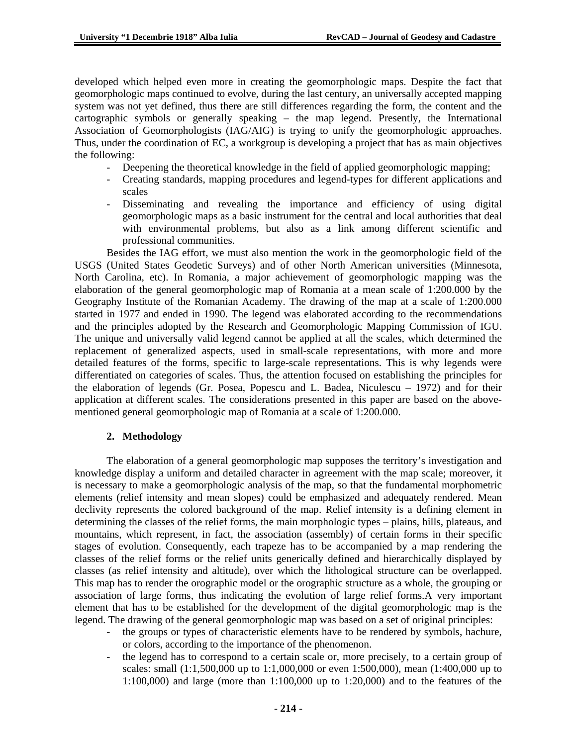developed which helped even more in creating the geomorphologic maps. Despite the fact that geomorphologic maps continued to evolve, during the last century, an universally accepted mapping system was not yet defined, thus there are still differences regarding the form, the content and the cartographic symbols or generally speaking – the map legend. Presently, the International Association of Geomorphologists (IAG/AIG) is trying to unify the geomorphologic approaches. Thus, under the coordination of EC, a workgroup is developing a project that has as main objectives the following:

- Deepening the theoretical knowledge in the field of applied geomorphologic mapping;
- Creating standards, mapping procedures and legend-types for different applications and scales
- Disseminating and revealing the importance and efficiency of using digital geomorphologic maps as a basic instrument for the central and local authorities that deal with environmental problems, but also as a link among different scientific and professional communities.

Besides the IAG effort, we must also mention the work in the geomorphologic field of the USGS (United States Geodetic Surveys) and of other North American universities (Minnesota, North Carolina, etc). In Romania, a major achievement of geomorphologic mapping was the elaboration of the general geomorphologic map of Romania at a mean scale of 1:200.000 by the Geography Institute of the Romanian Academy. The drawing of the map at a scale of 1:200.000 started in 1977 and ended in 1990. The legend was elaborated according to the recommendations and the principles adopted by the Research and Geomorphologic Mapping Commission of IGU. The unique and universally valid legend cannot be applied at all the scales, which determined the replacement of generalized aspects, used in small-scale representations, with more and more detailed features of the forms, specific to large-scale representations. This is why legends were differentiated on categories of scales. Thus, the attention focused on establishing the principles for the elaboration of legends (Gr. Posea, Popescu and L. Badea, Niculescu – 1972) and for their application at different scales. The considerations presented in this paper are based on the abovementioned general geomorphologic map of Romania at a scale of 1:200.000.

# **2. Methodology**

The elaboration of a general geomorphologic map supposes the territory's investigation and knowledge display a uniform and detailed character in agreement with the map scale; moreover, it is necessary to make a geomorphologic analysis of the map, so that the fundamental morphometric elements (relief intensity and mean slopes) could be emphasized and adequately rendered. Mean declivity represents the colored background of the map. Relief intensity is a defining element in determining the classes of the relief forms, the main morphologic types – plains, hills, plateaus, and mountains, which represent, in fact, the association (assembly) of certain forms in their specific stages of evolution. Consequently, each trapeze has to be accompanied by a map rendering the classes of the relief forms or the relief units generically defined and hierarchically displayed by classes (as relief intensity and altitude), over which the lithological structure can be overlapped. This map has to render the orographic model or the orographic structure as a whole, the grouping or association of large forms, thus indicating the evolution of large relief forms.A very important element that has to be established for the development of the digital geomorphologic map is the legend. The drawing of the general geomorphologic map was based on a set of original principles:

- the groups or types of characteristic elements have to be rendered by symbols, hachure, or colors, according to the importance of the phenomenon.
- the legend has to correspond to a certain scale or, more precisely, to a certain group of scales: small (1:1,500,000 up to 1:1,000,000 or even 1:500,000), mean (1:400,000 up to 1:100,000) and large (more than 1:100,000 up to 1:20,000) and to the features of the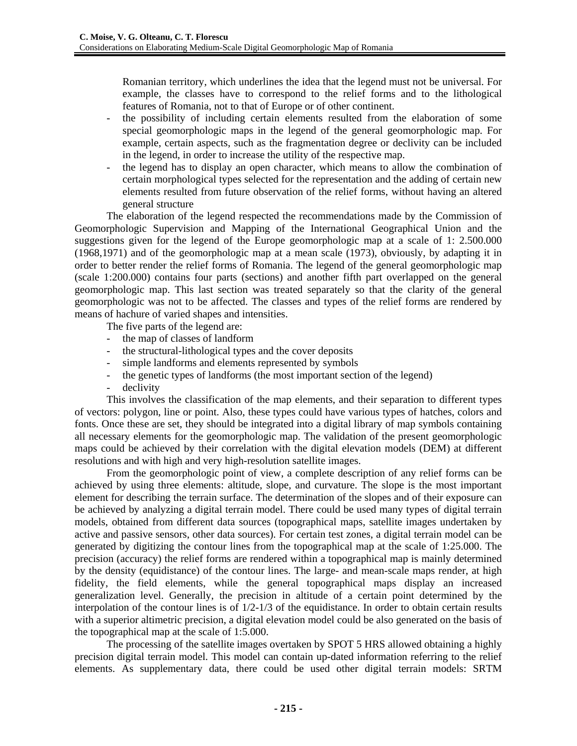Romanian territory, which underlines the idea that the legend must not be universal. For example, the classes have to correspond to the relief forms and to the lithological features of Romania, not to that of Europe or of other continent.

- the possibility of including certain elements resulted from the elaboration of some special geomorphologic maps in the legend of the general geomorphologic map. For example, certain aspects, such as the fragmentation degree or declivity can be included in the legend, in order to increase the utility of the respective map.
- the legend has to display an open character, which means to allow the combination of certain morphological types selected for the representation and the adding of certain new elements resulted from future observation of the relief forms, without having an altered general structure

The elaboration of the legend respected the recommendations made by the Commission of Geomorphologic Supervision and Mapping of the International Geographical Union and the suggestions given for the legend of the Europe geomorphologic map at a scale of 1: 2.500.000 (1968,1971) and of the geomorphologic map at a mean scale (1973), obviously, by adapting it in order to better render the relief forms of Romania. The legend of the general geomorphologic map (scale 1:200.000) contains four parts (sections) and another fifth part overlapped on the general geomorphologic map. This last section was treated separately so that the clarity of the general geomorphologic was not to be affected. The classes and types of the relief forms are rendered by means of hachure of varied shapes and intensities.

The five parts of the legend are:

- the map of classes of landform
- the structural-lithological types and the cover deposits
- simple landforms and elements represented by symbols
- the genetic types of landforms (the most important section of the legend)
- declivity

This involves the classification of the map elements, and their separation to different types of vectors: polygon, line or point. Also, these types could have various types of hatches, colors and fonts. Once these are set, they should be integrated into a digital library of map symbols containing all necessary elements for the geomorphologic map. The validation of the present geomorphologic maps could be achieved by their correlation with the digital elevation models (DEM) at different resolutions and with high and very high-resolution satellite images.

From the geomorphologic point of view, a complete description of any relief forms can be achieved by using three elements: altitude, slope, and curvature. The slope is the most important element for describing the terrain surface. The determination of the slopes and of their exposure can be achieved by analyzing a digital terrain model. There could be used many types of digital terrain models, obtained from different data sources (topographical maps, satellite images undertaken by active and passive sensors, other data sources). For certain test zones, a digital terrain model can be generated by digitizing the contour lines from the topographical map at the scale of 1:25.000. The precision (accuracy) the relief forms are rendered within a topographical map is mainly determined by the density (equidistance) of the contour lines. The large- and mean-scale maps render, at high fidelity, the field elements, while the general topographical maps display an increased generalization level. Generally, the precision in altitude of a certain point determined by the interpolation of the contour lines is of  $1/2$ -1/3 of the equidistance. In order to obtain certain results with a superior altimetric precision, a digital elevation model could be also generated on the basis of the topographical map at the scale of 1:5.000.

The processing of the satellite images overtaken by SPOT 5 HRS allowed obtaining a highly precision digital terrain model. This model can contain up-dated information referring to the relief elements. As supplementary data, there could be used other digital terrain models: SRTM